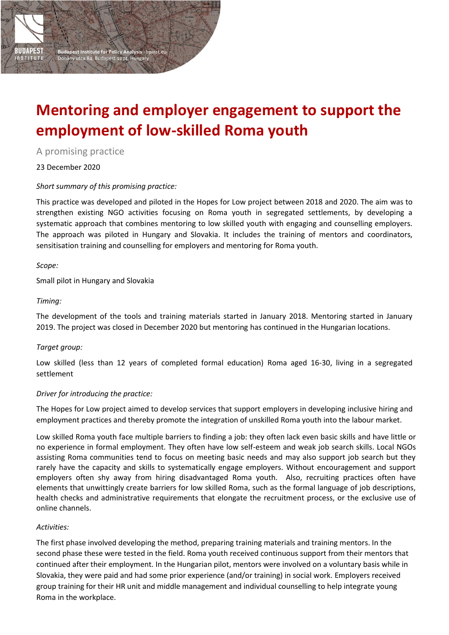# **Mentoring and employer engagement to support the employment of low-skilled Roma youth**

A promising practice

23 December 2020

## *Short summary of this promising practice:*

**Budapest Institute for Policy Analysis · bpinst.eu**<br>Dohány utca 84, Budapest 1074, Hungary

This practice was developed and piloted in the Hopes for Low project between 2018 and 2020. The aim was to strengthen existing NGO activities focusing on Roma youth in segregated settlements, by developing a systematic approach that combines mentoring to low skilled youth with engaging and counselling employers. The approach was piloted in Hungary and Slovakia. It includes the training of mentors and coordinators, sensitisation training and counselling for employers and mentoring for Roma youth.

*Scope:*

**DAPEST** 

Small pilot in Hungary and Slovakia

## *Timing:*

The development of the tools and training materials started in January 2018. Mentoring started in January 2019. The project was closed in December 2020 but mentoring has continued in the Hungarian locations.

# *Target group:*

Low skilled (less than 12 years of completed formal education) Roma aged 16-30, living in a segregated settlement

## *Driver for introducing the practice:*

The Hopes for Low project aimed to develop services that support employers in developing inclusive hiring and employment practices and thereby promote the integration of unskilled Roma youth into the labour market.

Low skilled Roma youth face multiple barriers to finding a job: they often lack even basic skills and have little or no experience in formal employment. They often have low self-esteem and weak job search skills. Local NGOs assisting Roma communities tend to focus on meeting basic needs and may also support job search but they rarely have the capacity and skills to systematically engage employers. Without encouragement and support employers often shy away from hiring disadvantaged Roma youth. Also, recruiting practices often have elements that unwittingly create barriers for low skilled Roma, such as the formal language of job descriptions, health checks and administrative requirements that elongate the recruitment process, or the exclusive use of online channels.

## *Activities:*

The first phase involved developing the method, preparing training materials and training mentors. In the second phase these were tested in the field. Roma youth received continuous support from their mentors that continued after their employment. In the Hungarian pilot, mentors were involved on a voluntary basis while in Slovakia, they were paid and had some prior experience (and/or training) in social work. Employers received group training for their HR unit and middle management and individual counselling to help integrate young Roma in the workplace.